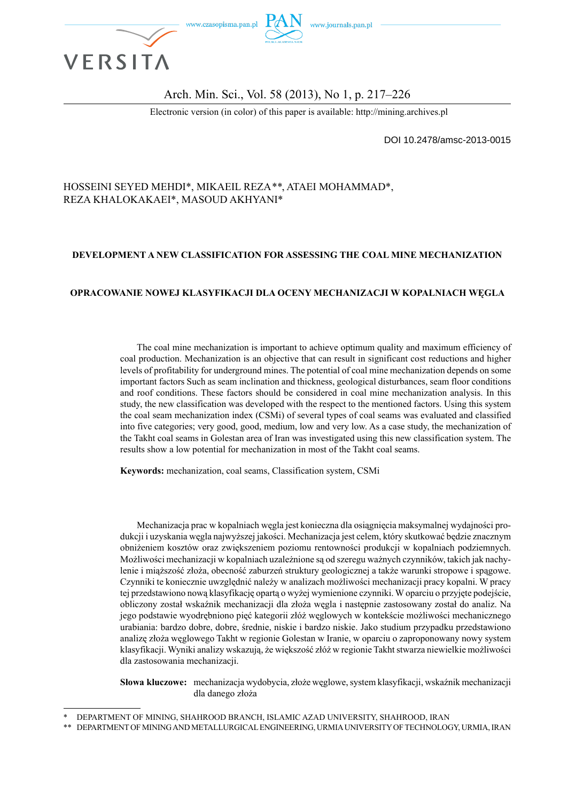

#### Arch. Min. Sci., Vol. 58 (2013), No 1, p. 217–226

Electronic version (in color) of this paper is available: http://mining.archives.pl

DOI 10.2478/amsc-2013-0015

#### HOSSEINI SEYED MEHDI\*, MIKAEIL REZA*\*\**, ATAEI MOHAMMAD\*, REZA KHALOKAKAEI\*, MASOUD AKHYANI\*

#### **DEVELOPMENT A NEW CLASSIFICATION FOR ASSESSING THE COAL MINE MECHANIZATION**

#### **OPRACOWANIE NOWEJ KLASYFIKACJI DLA OCENY MECHANIZACJI W KOPALNIACH WĘGLA**

The coal mine mechanization is important to achieve optimum quality and maximum efficiency of coal production. Mechanization is an objective that can result in significant cost reductions and higher levels of profitability for underground mines. The potential of coal mine mechanization depends on some important factors Such as seam inclination and thickness, geological disturbances, seam floor conditions and roof conditions. These factors should be considered in coal mine mechanization analysis. In this study, the new classification was developed with the respect to the mentioned factors. Using this system the coal seam mechanization index (CSMi) of several types of coal seams was evaluated and classified into five categories; very good, good, medium, low and very low. As a case study, the mechanization of the Takht coal seams in Golestan area of Iran was investigated using this new classification system. The results show a low potential for mechanization in most of the Takht coal seams.

**Keywords:** mechanization, coal seams, Classification system, CSMi

Mechanizacja prac w kopalniach węgla jest konieczna dla osiągnięcia maksymalnej wydajności produkcji i uzyskania węgla najwyższej jakości. Mechanizacja jest celem, który skutkować będzie znacznym obniżeniem kosztów oraz zwiększeniem poziomu rentowności produkcji w kopalniach podziemnych. Możliwości mechanizacji w kopalniach uzależnione są od szeregu ważnych czynników, takich jak nachylenie i miąższość złoża, obecność zaburzeń struktury geologicznej a także warunki stropowe i spągowe. Czynniki te koniecznie uwzględnić należy w analizach możliwości mechanizacji pracy kopalni. W pracy tej przedstawiono nową klasyfikację opartą o wyżej wymienione czynniki. W oparciu o przyjęte podejście, obliczony został wskaźnik mechanizacji dla złoża węgla i następnie zastosowany został do analiz. Na jego podstawie wyodrębniono pięć kategorii złóż węglowych w kontekście możliwości mechanicznego urabiania: bardzo dobre, dobre, średnie, niskie i bardzo niskie. Jako studium przypadku przedstawiono analizę złoża węglowego Takht w regionie Golestan w Iranie, w oparciu o zaproponowany nowy system klasyfikacji. Wyniki analizy wskazują, że większość złóż w regionie Takht stwarza niewielkie możliwości dla zastosowania mechanizacji.

**Słowa kluczowe:** mechanizacja wydobycia, złoże węglowe, system klasyfikacji, wskaźnik mechanizacji dla danego złoża

<sup>\*</sup> DEPARTMENT OF MINING, SHAHROOD BRANCH, ISLAMIC AZAD UNIVERSITY, SHAHROOD, IRAN

<sup>\*\*</sup> DEPARTMENT OF MINING AND METALLURGICAL ENGINEERING, URMIA UNIVERSITY OF TECHNOLOGY, URMIA, IRAN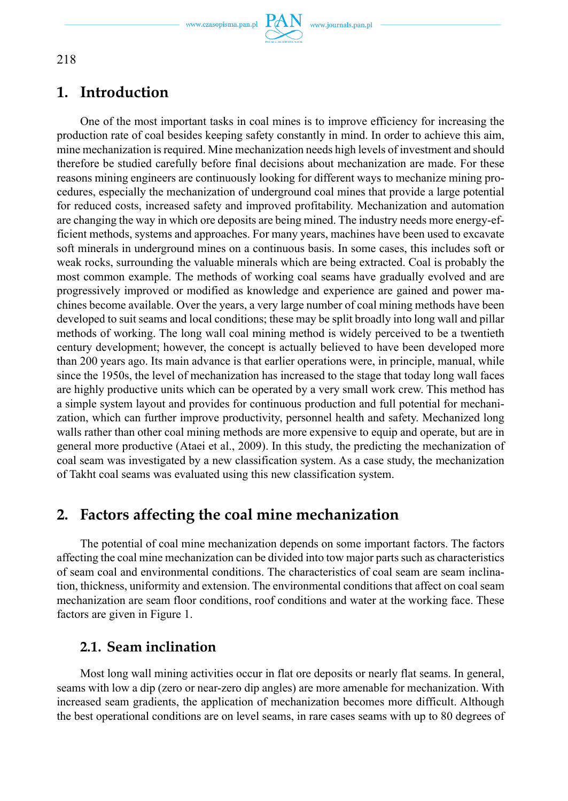

# **1. Introduction**

One of the most important tasks in coal mines is to improve efficiency for increasing the production rate of coal besides keeping safety constantly in mind. In order to achieve this aim, mine mechanization is required. Mine mechanization needs high levels of investment and should therefore be studied carefully before final decisions about mechanization are made. For these reasons mining engineers are continuously looking for different ways to mechanize mining procedures, especially the mechanization of underground coal mines that provide a large potential for reduced costs, increased safety and improved profitability. Mechanization and automation are changing the way in which ore deposits are being mined. The industry needs more energy-efficient methods, systems and approaches. For many years, machines have been used to excavate soft minerals in underground mines on a continuous basis. In some cases, this includes soft or weak rocks, surrounding the valuable minerals which are being extracted. Coal is probably the most common example. The methods of working coal seams have gradually evolved and are progressively improved or modified as knowledge and experience are gained and power machines become available. Over the years, a very large number of coal mining methods have been developed to suit seams and local conditions; these may be split broadly into long wall and pillar methods of working. The long wall coal mining method is widely perceived to be a twentieth century development; however, the concept is actually believed to have been developed more than 200 years ago. Its main advance is that earlier operations were, in principle, manual, while since the 1950s, the level of mechanization has increased to the stage that today long wall faces are highly productive units which can be operated by a very small work crew. This method has a simple system layout and provides for continuous production and full potential for mechanization, which can further improve productivity, personnel health and safety. Mechanized long walls rather than other coal mining methods are more expensive to equip and operate, but are in general more productive (Ataei et al., 2009). In this study, the predicting the mechanization of coal seam was investigated by a new classification system. As a case study, the mechanization of Takht coal seams was evaluated using this new classification system.

# **2. Factors affecting the coal mine mechanization**

The potential of coal mine mechanization depends on some important factors. The factors affecting the coal mine mechanization can be divided into tow major parts such as characteristics of seam coal and environmental conditions. The characteristics of coal seam are seam inclination, thickness, uniformity and extension. The environmental conditions that affect on coal seam mechanization are seam floor conditions, roof conditions and water at the working face. These factors are given in Figure 1.

# **2.1. Seam inclination**

Most long wall mining activities occur in flat ore deposits or nearly flat seams. In general, seams with low a dip (zero or near-zero dip angles) are more amenable for mechanization. With increased seam gradients, the application of mechanization becomes more difficult. Although the best operational conditions are on level seams, in rare cases seams with up to 80 degrees of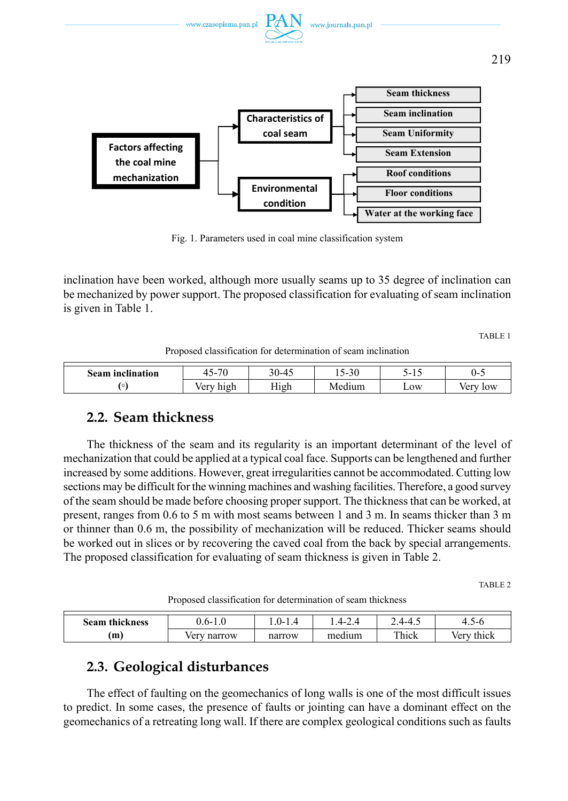



Fig. 1. Parameters used in coal mine classification system

inclination have been worked, although more usually seams up to 35 degree of inclination can be mechanized by power support. The proposed classification for evaluating of seam inclination is given in Table 1.

TABLE 1

Proposed classification for determination of seam inclination

| <br>Seam inclination | $\overline{\phantom{a}}$<br>. .<br>`-<br>۰ ۱. | $0-4^{\epsilon}$<br>ົ<br>⊤⊷ | $\sim$<br>$\overline{\phantom{0}}$<br>∙ > ∪ | ۰-<br>ن 1          | U-         |
|----------------------|-----------------------------------------------|-----------------------------|---------------------------------------------|--------------------|------------|
| $\circ$              | 100 <sup>2</sup><br>high<br>◡                 | High                        | $-1$<br>лm                                  | $L$ <sub>O</sub> W | $\alpha w$ |

### **2.2. Seam thickness**

The thickness of the seam and its regularity is an important determinant of the level of mechanization that could be applied at a typical coal face. Supports can be lengthened and further increased by some additions. However, great irregularities cannot be accommodated. Cutting low sections may be difficult for the winning machines and washing facilities. Therefore, a good survey of the seam should be made before choosing proper support. The thickness that can be worked, at present, ranges from 0.6 to 5 m with most seams between 1 and 3 m. In seams thicker than 3 m or thinner than 0.6 m, the possibility of mechanization will be reduced. Thicker seams should be worked out in slices or by recovering the caved coal from the back by special arrangements. The proposed classification for evaluating of seam thickness is given in Table 2.

TABLE 2

Proposed classification for determination of seam thickness

| .<br>Seam<br>, thickness | n-    | ⋯-<br>-<br>. . | <u> 4 – </u> | $4 - 4$<br>т.                  | า-เ<br>$\cdot$ $\cdot$ |
|--------------------------|-------|----------------|--------------|--------------------------------|------------------------|
| m                        | arrow |                | . .<br>m.    | T <sub>1</sub><br>. .<br>Thick | 'hıck                  |

## **2.3. Geological disturbances**

The effect of faulting on the geomechanics of long walls is one of the most difficult issues to predict. In some cases, the presence of faults or jointing can have a dominant effect on the geomechanics of a retreating long wall. If there are complex geological conditions such as faults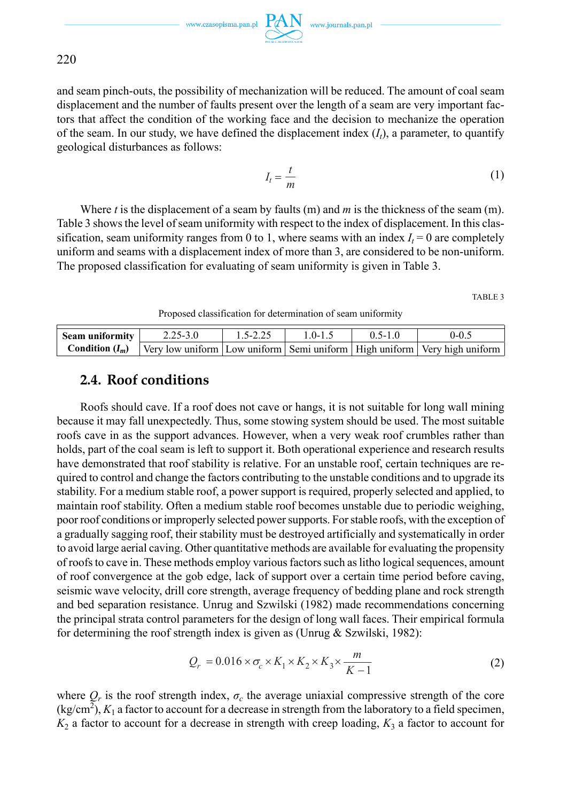$\begin{picture}(120,110) \put(0,0){\vector(1,0){100}} \put(15,0){\vector(1,0){100}} \put(15,0){\vector(1,0){100}} \put(15,0){\vector(1,0){100}} \put(15,0){\vector(1,0){100}} \put(15,0){\vector(1,0){100}} \put(15,0){\vector(1,0){100}} \put(15,0){\vector(1,0){100}} \put(15,0){\vector(1,0){100}} \put(15,0){\vector(1,0){100}} \put(15,0){\vector(1,0){100$ 

220

and seam pinch-outs, the possibility of mechanization will be reduced. The amount of coal seam displacement and the number of faults present over the length of a seam are very important factors that affect the condition of the working face and the decision to mechanize the operation of the seam. In our study, we have defined the displacement index  $(I_t)$ , a parameter, to quantify geological disturbances as follows:

$$
I_t = \frac{t}{m} \tag{1}
$$

Where *t* is the displacement of a seam by faults (m) and *m* is the thickness of the seam (m). Table 3 shows the level of seam uniformity with respect to the index of displacement. In this classification, seam uniformity ranges from 0 to 1, where seams with an index  $I_t = 0$  are completely uniform and seams with a displacement index of more than 3, are considered to be non-uniform. The proposed classification for evaluating of seam uniformity is given in Table 3.

TABLE 3

Proposed classification for determination of seam uniformity

| Seam uniformity | $2.25 - 3.0$ | $1.5 - 2.25$ | 1 0-1 5 | $0.5 - 1.0$ | 0-0.5                                                                                                       |
|-----------------|--------------|--------------|---------|-------------|-------------------------------------------------------------------------------------------------------------|
|                 |              |              |         |             | <b>Condition</b> $(I_m)$   Very low uniform   Low uniform   Semi uniform   High uniform   Very high uniform |

### **2.4. Roof conditions**

Roofs should cave. If a roof does not cave or hangs, it is not suitable for long wall mining because it may fall unexpectedly. Thus, some stowing system should be used. The most suitable roofs cave in as the support advances. However, when a very weak roof crumbles rather than holds, part of the coal seam is left to support it. Both operational experience and research results have demonstrated that roof stability is relative. For an unstable roof, certain techniques are required to control and change the factors contributing to the unstable conditions and to upgrade its stability. For a medium stable roof, a power support is required, properly selected and applied, to maintain roof stability. Often a medium stable roof becomes unstable due to periodic weighing, poor roof conditions or improperly selected power supports. For stable roofs, with the exception of a gradually sagging roof, their stability must be destroyed artificially and systematically in order to avoid large aerial caving. Other quantitative methods are available for evaluating the propensity of roofs to cave in. These methods employ various factors such as litho logical sequences, amount of roof convergence at the gob edge, lack of support over a certain time period before caving, seismic wave velocity, drill core strength, average frequency of bedding plane and rock strength and bed separation resistance. Unrug and Szwilski (1982) made recommendations concerning the principal strata control parameters for the design of long wall faces. Their empirical formula for determining the roof strength index is given as (Unrug  $&$  Szwilski, 1982):

$$
Q_r = 0.016 \times \sigma_c \times K_1 \times K_2 \times K_3 \times \frac{m}{K - 1}
$$
 (2)

where  $Q_r$  is the roof strength index,  $\sigma_c$  the average uniaxial compressive strength of the core  $(kg/cm<sup>2</sup>)$ ,  $K<sub>1</sub>$  a factor to account for a decrease in strength from the laboratory to a field specimen,  $K_2$  a factor to account for a decrease in strength with creep loading,  $K_3$  a factor to account for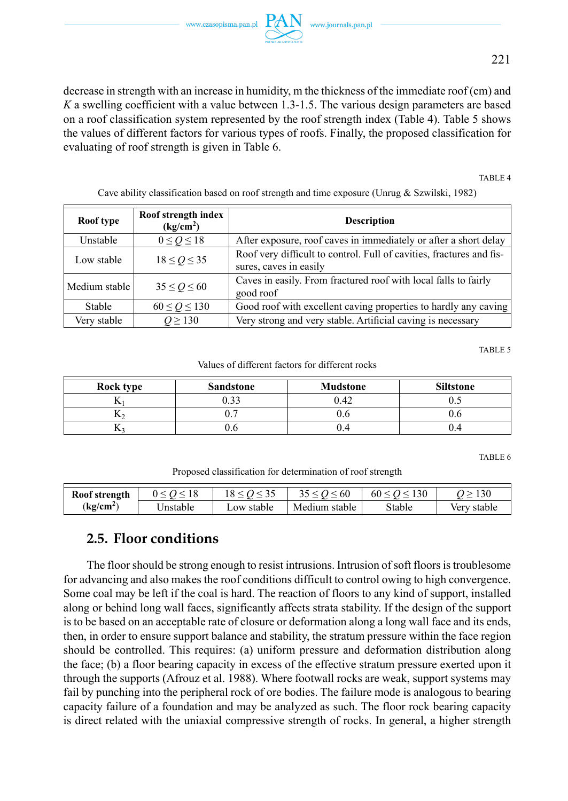decrease in strength with an increase in humidity, m the thickness of the immediate roof (cm) and *K* a swelling coefficient with a value between 1.3-1.5. The various design parameters are based on a roof classification system represented by the roof strength index (Table 4). Table 5 shows the values of different factors for various types of roofs. Finally, the proposed classification for evaluating of roof strength is given in Table 6.

TABLE 4

| Roof type     | Roof strength index<br>(kg/cm <sup>2</sup> ) | <b>Description</b>                                                                             |
|---------------|----------------------------------------------|------------------------------------------------------------------------------------------------|
| Unstable      | $0 \le Q \le 18$                             | After exposure, roof caves in immediately or after a short delay                               |
| Low stable    | $18 \leq Q \leq 35$                          | Roof very difficult to control. Full of cavities, fractures and fis-<br>sures, caves in easily |
| Medium stable | $35 \leq Q \leq 60$                          | Caves in easily. From fractured roof with local falls to fairly<br>good roof                   |
| <b>Stable</b> | $60 \leq Q \leq 130$                         | Good roof with excellent caving properties to hardly any caving                                |
| Very stable   | $Q \ge 130$                                  | Very strong and very stable. Artificial caving is necessary                                    |

Cave ability classification based on roof strength and time exposure (Unrug & Szwilski, 1982)

TABLE 5

Values of different factors for different rocks

| Rock type | <b>Sandstone</b> | <b>Mudstone</b> | <b>Siltstone</b> |
|-----------|------------------|-----------------|------------------|
| м         | 2.33             | 0.42            |                  |
| <b>IX</b> |                  |                 |                  |
|           | U.O              | U.4             |                  |

TABLE 6

Proposed classification for determination of roof strength

| Roof strength         |          |            | $\leq 60$     | 130<br>60 < Q < | 130         |
|-----------------------|----------|------------|---------------|-----------------|-------------|
| (kg/cm <sup>2</sup> ) | Jnstable | ∟ow stable | Medium stable | Stable          | Very stable |

#### **2.5. Floor conditions**

The floor should be strong enough to resist intrusions. Intrusion of soft floors is troublesome for advancing and also makes the roof conditions difficult to control owing to high convergence. Some coal may be left if the coal is hard. The reaction of floors to any kind of support, installed along or behind long wall faces, significantly affects strata stability. If the design of the support is to be based on an acceptable rate of closure or deformation along a long wall face and its ends, then, in order to ensure support balance and stability, the stratum pressure within the face region should be controlled. This requires: (a) uniform pressure and deformation distribution along the face; (b) a floor bearing capacity in excess of the effective stratum pressure exerted upon it through the supports (Afrouz et al. 1988). Where footwall rocks are weak, support systems may fail by punching into the peripheral rock of ore bodies. The failure mode is analogous to bearing capacity failure of a foundation and may be analyzed as such. The floor rock bearing capacity is direct related with the uniaxial compressive strength of rocks. In general, a higher strength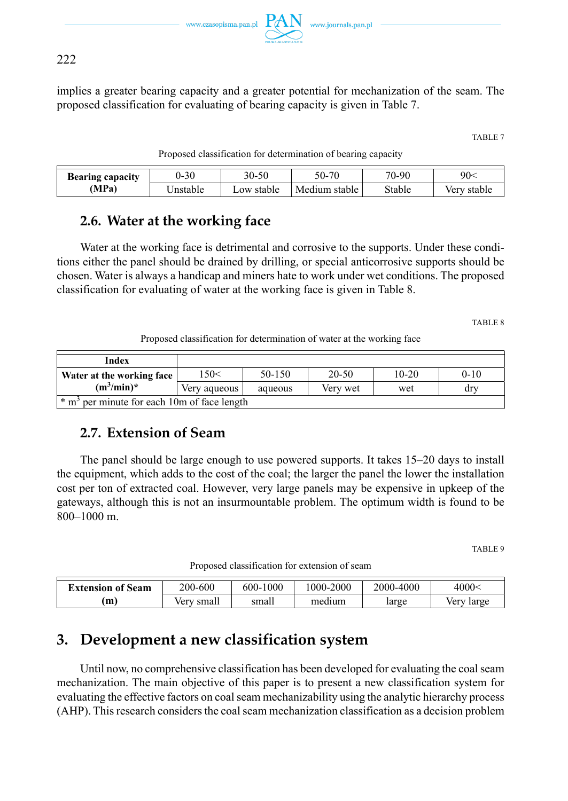www.czasopisma.pan.pl  $PAN$  www.journals.pan.pl

222

implies a greater bearing capacity and a greater potential for mechanization of the seam. The proposed classification for evaluating of bearing capacity is given in Table 7.

TABLE 7

|  | Proposed classification for determination of bearing capacity |  |  |  |
|--|---------------------------------------------------------------|--|--|--|
|--|---------------------------------------------------------------|--|--|--|

| <b>Bearing capacity</b> | 30<br>$U -$ | 30-50      | -70<br>70-       | 70-90  | 90<    |
|-------------------------|-------------|------------|------------------|--------|--------|
| (MPa)                   |             | ∟ow stable | Medium<br>stable | Stable | stable |

## **2.6. Water at the working face**

Water at the working face is detrimental and corrosive to the supports. Under these conditions either the panel should be drained by drilling, or special anticorrosive supports should be chosen. Water is always a handicap and miners hate to work under wet conditions. The proposed classification for evaluating of water at the working face is given in Table 8.

TABLE 8

Proposed classification for determination of water at the working face

| Index                                                   |              |         |           |         |          |  |  |
|---------------------------------------------------------|--------------|---------|-----------|---------|----------|--|--|
| Water at the working face                               | 150<         | 50-150  | $20 - 50$ | $10-20$ | $0 - 10$ |  |  |
| $(m^3/\text{min})^*$                                    | Very aqueous | aqueous | Verv wet  | wet     | drv      |  |  |
| * m <sup>3</sup> per minute for each 10m of face length |              |         |           |         |          |  |  |

## **2.7. Extension of Seam**

The panel should be large enough to use powered supports. It takes 15–20 days to install the equipment, which adds to the cost of the coal; the larger the panel the lower the installation cost per ton of extracted coal. However, very large panels may be expensive in upkeep of the gateways, although this is not an insurmountable problem. The optimum width is found to be 800–1000 m.

TABLE 9

Proposed classification for extension of seam

| <b>Extension of Seam</b> | 200-600        | 1000<br>$600 -$ | 1000-2000 | 2000-4000 | 4000 <sup>2</sup> |
|--------------------------|----------------|-----------------|-----------|-----------|-------------------|
| m                        | ∶small<br>verv | small           | medium    | large     | large<br>verv     |

# **3. Development a new classification system**

Until now, no comprehensive classification has been developed for evaluating the coal seam mechanization. The main objective of this paper is to present a new classification system for evaluating the effective factors on coal seam mechanizability using the analytic hierarchy process (AHP). This research considers the coal seam mechanization classification as a decision problem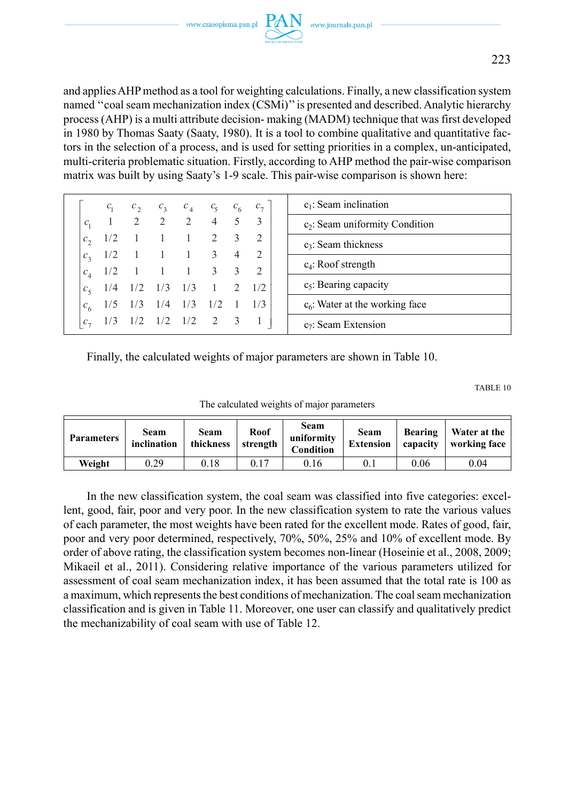

and applies AHP method as a tool for weighting calculations. Finally, a new classification system named ''coal seam mechanization index (CSMi)'' is presented and described. Analytic hierarchy process (AHP) is a multi attribute decision- making (MADM) technique that was first developed in 1980 by Thomas Saaty (Saaty, 1980). It is a tool to combine qualitative and quantitative factors in the selection of a process, and is used for setting priorities in a complex, un-anticipated, multi-criteria problematic situation. Firstly, according to AHP method the pair-wise comparison matrix was built by using Saaty's 1-9 scale. This pair-wise comparison is shown here:

|                | $c_{1}$           |     | $c_2$ $c_3$ $c_4$ $c_5$ $c_6$ $c_7$ |     |                 |           | $c_1$ : Seam inclination          |
|----------------|-------------------|-----|-------------------------------------|-----|-----------------|-----------|-----------------------------------|
| $C_{1}$        |                   |     | 2 2 2 4 5                           |     |                 |           | $c_2$ : Seam uniformity Condition |
| $c_{\gamma}$   | 1/2               |     | 1 1 2 3                             |     |                 |           | $c_3$ : Seam thickness            |
|                | $c_3$ 1/2         |     | 1 1 3 4                             |     |                 |           |                                   |
|                | $c_4$ 1/2         |     | 1 1 1 3 3                           |     |                 |           | $c_4$ : Roof strength             |
| c <sub>z</sub> | $1/4$ $1/2$ $1/3$ |     |                                     | 1/3 | $1 \t 2 \t 1/2$ |           | $c_5$ : Bearing capacity          |
| $c_{6}$        |                   | 1/3 | 1/4                                 | 1/3 | 1/2             | $1 \t1/3$ | $c6$ : Water at the working face  |
| $c_{\tau}$     |                   |     | $1/2$ $1/2$ $1/2$ $2$ $3$           |     |                 |           | $c_7$ : Seam Extension            |

Finally, the calculated weights of major parameters are shown in Table 10.

TABLE 10

| The calculated weights of major parameters |  |  |  |
|--------------------------------------------|--|--|--|
|--------------------------------------------|--|--|--|

| <b>Parameters</b> | Seam<br>inclination | Seam<br>thickness | Roof<br>strength | Seam<br>uniformity<br>Condition | Seam<br><b>Extension</b> | <b>Bearing</b><br>capacity | Water at the<br>working face |  |
|-------------------|---------------------|-------------------|------------------|---------------------------------|--------------------------|----------------------------|------------------------------|--|
| Weight            | 0.29                | 0.18              | 0.17             | 0.16                            | 0.1                      | 0.06                       | 0.04                         |  |

In the new classification system, the coal seam was classified into five categories: excellent, good, fair, poor and very poor. In the new classification system to rate the various values of each parameter, the most weights have been rated for the excellent mode. Rates of good, fair, poor and very poor determined, respectively, 70%, 50%, 25% and 10% of excellent mode. By order of above rating, the classification system becomes non-linear (Hoseinie et al., 2008, 2009; Mikaeil et al., 2011). Considering relative importance of the various parameters utilized for assessment of coal seam mechanization index, it has been assumed that the total rate is 100 as a maximum, which represents the best conditions of mechanization. The coal seam mechanization classification and is given in Table 11. Moreover, one user can classify and qualitatively predict the mechanizability of coal seam with use of Table 12.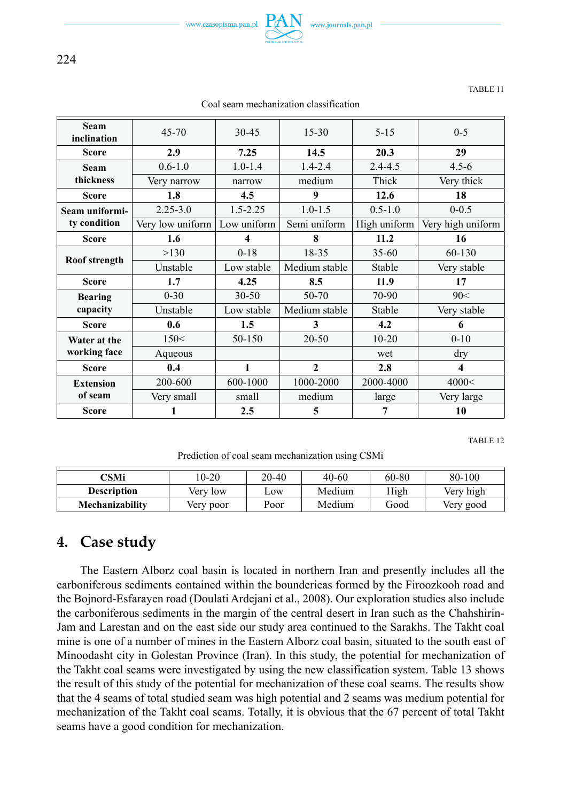

224

| TABLE 1 |
|---------|
|---------|

| <b>Seam</b><br>inclination | $45 - 70$        |              | $15 - 30$     | $5 - 15$     | $0 - 5$                 |  |
|----------------------------|------------------|--------------|---------------|--------------|-------------------------|--|
| <b>Score</b>               | 2.9              | 7.25         | 14.5          | 20.3         | 29                      |  |
| <b>Seam</b>                | $0.6 - 1.0$      | $1.0 - 1.4$  | $1.4 - 2.4$   | $2.4 - 4.5$  | $4.5 - 6$               |  |
| thickness                  | Very narrow      | narrow       | medium        | Thick        | Very thick              |  |
| <b>Score</b>               | 1.8              | 4.5          | 9<br>12.6     |              | 18                      |  |
| Seam uniformi-             | $2.25 - 3.0$     | $1.5 - 2.25$ | $1.0 - 1.5$   | $0.5 - 1.0$  | $0 - 0.5$               |  |
| ty condition               | Very low uniform | Low uniform  | Semi uniform  | High uniform | Very high uniform       |  |
| <b>Score</b>               | 1.6              | 4            | 8             | 11.2         | 16                      |  |
|                            | >130             | $0-18$       | 18-35         | $35 - 60$    | 60-130                  |  |
| Roof strength              | Unstable         | Low stable   | Medium stable | Stable       | Very stable             |  |
| <b>Score</b>               | 1.7              | 4.25         | 8.5           | 11.9         | 17                      |  |
| <b>Bearing</b>             | $0 - 30$         | $30 - 50$    | 50-70         | 70-90        | 90<                     |  |
| capacity                   | Unstable         | Low stable   | Medium stable | Stable       | Very stable             |  |
| Score                      | 0.6              | 1.5          | 3             | 4.2          | 6                       |  |
| Water at the               | 150<             | 50-150       | $20 - 50$     | $10 - 20$    | $0 - 10$                |  |
| working face               | Aqueous          |              |               | wet          | dry                     |  |
| <b>Score</b>               | 0.4              | 1            | $\mathbf{2}$  | 2.8          | $\overline{\mathbf{4}}$ |  |
| <b>Extension</b>           | 200-600          | 600-1000     | 1000-2000     | 2000-4000    | 4000<                   |  |
| of seam                    | Very small       | small        | medium        | large        | Very large              |  |
| <b>Score</b>               |                  | 2.5          | 5             | 7            | 10                      |  |

Coal seam mechanization classification

TABLE 12

Prediction of coal seam mechanization using CSMi

| CSMi               | $0-20$    | 20-40 | 40-60  | 60-80 | 80-100    |
|--------------------|-----------|-------|--------|-------|-----------|
| <b>Description</b> | Very low  | $-0W$ | Medium | High  | Very high |
| Mechanizability    | Very poor | Poor  | Medium | Good  | Very good |

## **4. Case study**

The Eastern Alborz coal basin is located in northern Iran and presently includes all the carboniferous sediments contained within the bounderieas formed by the Firoozkooh road and the Bojnord-Esfarayen road (Doulati Ardejani et al., 2008). Our exploration studies also include the carboniferous sediments in the margin of the central desert in Iran such as the Chahshirin-Jam and Larestan and on the east side our study area continued to the Sarakhs. The Takht coal mine is one of a number of mines in the Eastern Alborz coal basin, situated to the south east of Minoodasht city in Golestan Province (Iran). In this study, the potential for mechanization of the Takht coal seams were investigated by using the new classification system. Table 13 shows the result of this study of the potential for mechanization of these coal seams. The results show that the 4 seams of total studied seam was high potential and 2 seams was medium potential for mechanization of the Takht coal seams. Totally, it is obvious that the 67 percent of total Takht seams have a good condition for mechanization.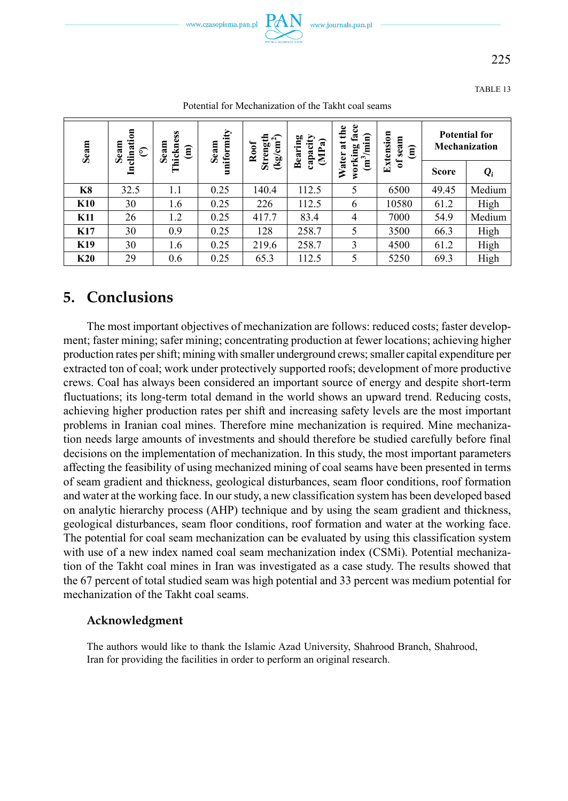



225

TABLE 13

| Seam       | clination<br>Seam<br>$\widehat{\mathbb{C}}$<br>Ξ | Thickness<br>Seam<br>€ | uniformity<br>Seam | ≘<br>$\widehat{r}$<br>Strengt<br>(kg/cm'<br>Roof | <b>Bearing</b><br>capacity<br>(MPa) | face<br>the<br>$(m^3/mm)$<br>$\ddot{\mathbf{a}}$<br>working<br>Water | Extension<br>seam<br>$\widehat{\mathsf{e}}$<br>$\mathbf{a}$ | <b>Potential for</b><br>Mechanization |                      |
|------------|--------------------------------------------------|------------------------|--------------------|--------------------------------------------------|-------------------------------------|----------------------------------------------------------------------|-------------------------------------------------------------|---------------------------------------|----------------------|
|            |                                                  |                        |                    |                                                  |                                     |                                                                      |                                                             | <b>Score</b>                          | $\mathbf{\varrho}_i$ |
| K8         | 32.5                                             | 1.1                    | 0.25               | 140.4                                            | 112.5                               | 5                                                                    | 6500                                                        | 49.45                                 | Medium               |
| <b>K10</b> | 30                                               | 1.6                    | 0.25               | 226                                              | 112.5                               | 6                                                                    | 10580                                                       | 61.2                                  | High                 |
| <b>K11</b> | 26                                               | 1.2                    | 0.25               | 417.7                                            | 83.4                                | $\overline{4}$                                                       | 7000                                                        | 54.9                                  | Medium               |
| <b>K17</b> | 30                                               | 0.9                    | 0.25               | 128                                              | 258.7                               | 5                                                                    | 3500                                                        | 66.3                                  | High                 |
| K19        | 30                                               | 1.6                    | 0.25               | 219.6                                            | 258.7                               | 3                                                                    | 4500                                                        | 61.2                                  | High                 |
| K20        | 29                                               | 0.6                    | 0.25               | 65.3                                             | 112.5                               | 5                                                                    | 5250                                                        | 69.3                                  | High                 |

Potential for Mechanization of the Takht coal seams

# **5. Conclusions**

The most important objectives of mechanization are follows: reduced costs; faster development; faster mining; safer mining; concentrating production at fewer locations; achieving higher production rates per shift; mining with smaller underground crews; smaller capital expenditure per extracted ton of coal; work under protectively supported roofs; development of more productive crews. Coal has always been considered an important source of energy and despite short-term fluctuations; its long-term total demand in the world shows an upward trend. Reducing costs, achieving higher production rates per shift and increasing safety levels are the most important problems in Iranian coal mines. Therefore mine mechanization is required. Mine mechanization needs large amounts of investments and should therefore be studied carefully before final decisions on the implementation of mechanization. In this study, the most important parameters affecting the feasibility of using mechanized mining of coal seams have been presented in terms of seam gradient and thickness, geological disturbances, seam floor conditions, roof formation and water at the working face. In our study, a new classification system has been developed based on analytic hierarchy process (AHP) technique and by using the seam gradient and thickness, geological disturbances, seam floor conditions, roof formation and water at the working face. The potential for coal seam mechanization can be evaluated by using this classification system with use of a new index named coal seam mechanization index (CSMi). Potential mechanization of the Takht coal mines in Iran was investigated as a case study. The results showed that the 67 percent of total studied seam was high potential and 33 percent was medium potential for mechanization of the Takht coal seams.

#### **Acknowledgment**

The authors would like to thank the Islamic Azad University, Shahrood Branch, Shahrood, Iran for providing the facilities in order to perform an original research.